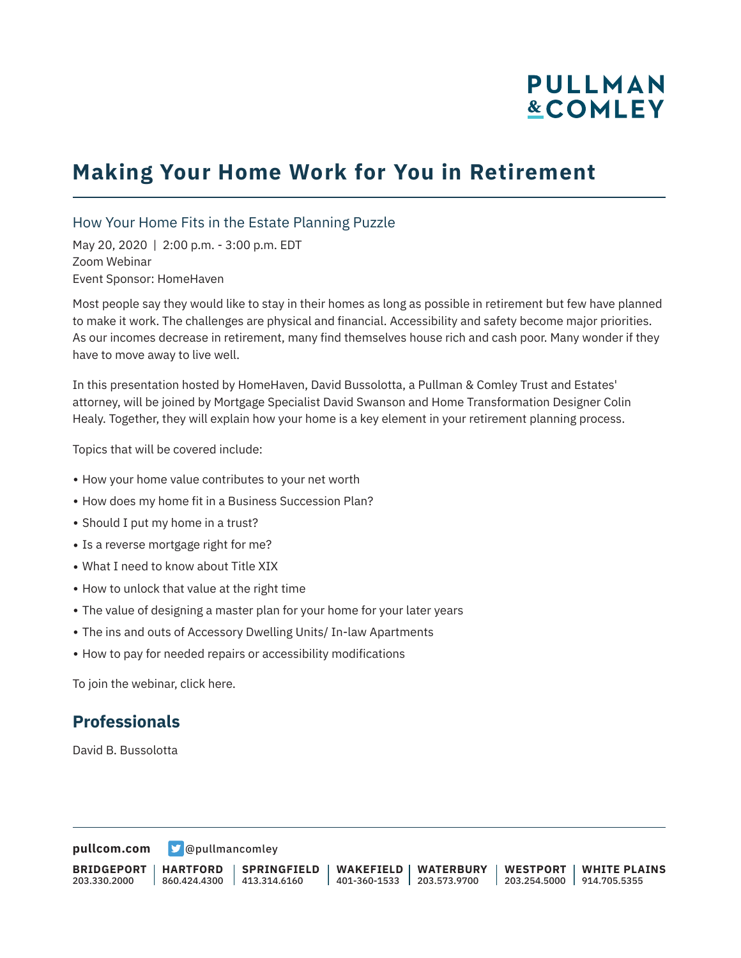# **PULLMAN &COMLEY**

## **Making Your Home Work for You in Retirement**

#### How Your Home Fits in the Estate Planning Puzzle

May 20, 2020 | 2:00 p.m. - 3:00 p.m. EDT Zoom Webinar Event Sponsor: HomeHaven

Most people say they would like to stay in their homes as long as possible in retirement but few have planned to make it work. The challenges are physical and financial. Accessibility and safety become major priorities. As our incomes decrease in retirement, many find themselves house rich and cash poor. Many wonder if they have to move away to live well.

In this presentation hosted by HomeHaven, David Bussolotta, a Pullman & Comley Trust and Estates' attorney, will be joined by Mortgage Specialist David Swanson and Home Transformation Designer Colin Healy. Together, they will explain how your home is a key element in your retirement planning process.

Topics that will be covered include:

- How your home value contributes to your net worth
- How does my home fit in a Business Succession Plan?
- Should I put my home in a trust?
- Is a reverse mortgage right for me?
- What I need to know about Title XIX
- How to unlock that value at the right time
- The value of designing a master plan for your home for your later years
- The ins and outs of Accessory Dwelling Units/ In-law Apartments
- How to pay for needed repairs or accessibility modifications

To join the webinar, click here.

#### **Professionals**

David B. Bussolotta

**[pullcom.com](https://www.pullcom.com) g** [@pullmancomley](https://twitter.com/PullmanComley)